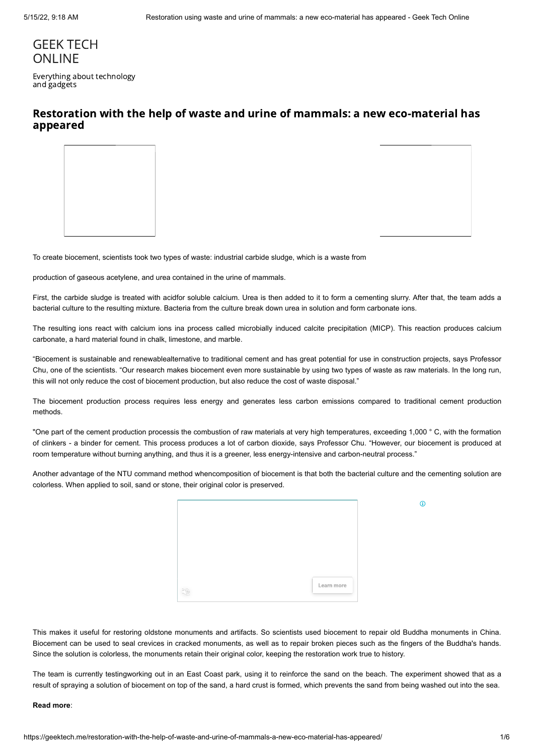# [GEEK TECH](https://geektech.me/) **ONLINE**

Everything about technology and gadgets

## Restoration with the help of waste and urine of mammals: a new eco-material has appeared

To create biocement, scientists took two types of waste: industrial carbide sludge, which is a waste from

production of gaseous acetylene, and urea contained in the urine of mammals.

First, the carbide sludge is treated with acidfor soluble calcium. Urea is then added to it to form a cementing slurry. After that, the team adds a bacterial culture to the resulting mixture. Bacteria from the culture break down urea in solution and form carbonate ions.

The resulting ions react with calcium ions ina process called microbially induced calcite precipitation (MICP). This reaction produces calcium carbonate, a hard material found in chalk, limestone, and marble.

"Biocement is sustainable and renewablealternative to traditional cement and has great potential for use in construction projects, says Professor Chu, one of the scientists. "Our research makes biocement even more sustainable by using two types of waste as raw materials. In the long run, this will not only reduce the cost of biocement production, but also reduce the cost of waste disposal."

The biocement production process requires less energy and generates less carbon emissions compared to traditional cement production methods.

"One part of the cement production processis the combustion of raw materials at very high temperatures, exceeding 1,000 ° C, with the formation of clinkers - a binder for cement. This process produces a lot of carbon dioxide, says Professor Chu. "However, our biocement is produced at room temperature without burning anything, and thus it is a greener, less energy-intensive and carbon-neutral process."

Another advantage of the NTU command method whencomposition of biocement is that both the bacterial culture and the cementing solution are colorless. When applied to soil, sand or stone, their original color is preserved.

|  | Learn more |  |
|--|------------|--|

This makes it useful for restoring oldstone monuments and artifacts. So scientists used biocement to repair old Buddha monuments in China. Biocement can be used to seal crevices in cracked monuments, as well as to repair broken pieces such as the fingers of the Buddha's hands. Since the solution is colorless, the monuments retain their original color, keeping the restoration work true to history.

The team is currently testingworking out in an East Coast park, using it to reinforce the sand on the beach. The experiment showed that as a result of spraying a solution of biocement on top of the sand, a hard crust is formed, which prevents the sand from being washed out into the sea.

### **Read more**:

 $\Omega$